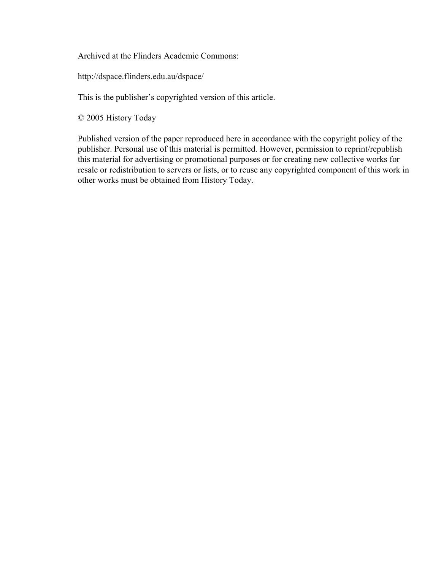Archived at the Flinders Academic Commons:

http://dspace.flinders.edu.au/dspace/

This is the publisher's copyrighted version of this article.

© 2005 History Today

Published version of the paper reproduced here in accordance with the copyright policy of the publisher. Personal use of this material is permitted. However, permission to reprint/republish this material for advertising or promotional purposes or for creating new collective works for resale or redistribution to servers or lists, or to reuse any copyrighted component of this work in other works must be obtained from History Today.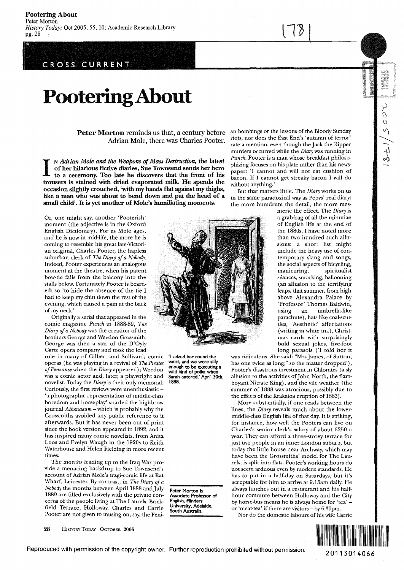CROSS **CURRENT** 

'0;

## **PooteringAbout**

Peter Morton reminds us that, a century before an bombings or the lessons of the Bloody Sunday Adrian Mole, there was Charles Pooter.

I N Adrian Mole and the Weapons of Mass Destruction, the latest of her hilarious fictive diaries, Sue Townsend sends her hero to a ceremony. Too late he discovers that the front of his trousers is stained with dried evaporated milk. He spends the occasion slightly crouched, 'with my hands flat against my thighs, like a man who was about to bend down and pat the head of a small child'. It is yet another of Mole's humiliating moments.

Or, one might say, another 'Pooterish' moment (the adjective is in the Oxford English Dictionary). For as Mole ages, and he is now in mid-life, the more he is coming to resemble his great late-Victorian original, Charles Pooter, the hapless suburban clerk of *The Diary of a Nobody.*  Indeed, Pooter experiences an analogous moment at the theatre, when his patent bow-tie falls from the balcony into the stalls below. Fortunately Pooter is bearded; so 'to hide the absence of the tie I had to keep my chin down the rest of the evening, which caused a pain at the back of my neck.'

Originally a serial that appeared in the comic magazine *Punch* in 1888-89, *The Diary of a Nobody* was the creation of the brothers George and Weedon Grossmith. George was then a star of the D'Oyly Carte opera company and took the lead

role in many of Gilbert and Sullivan's comic operas (he was playing in a revival of *The Pirates of Penza nee* when the *Diary* appeared); Weedon was a comic actor and, later, a playwright and novelist. Today the *Diary* is their only memorial. Curiously, the first reviews were unenthusiastic -'a photographic representation of middle-class boredom and horseplay' snarled the highbrow journal *Athenaeum* - which is probably why the Grossmiths avoided any public reference to it afterwards. But it has never been out of print since the book version appeared in 1892, and it has inspired many comic novelists, from Anita Loos and Evelyn Waugh in the 1920s to Keith Waterhouse and Helen Fielding in more recent times.

The months leading up to the Iraq War provide a menacing backdrop to Sue Townsend's account of Adrian Mole's tragi-comic life at Rat Wharf, Leicester. By contrast, in *The Diary of a Nobody* the months between April 1888 and July 1889 are filled exclusively with the private concerns of the people living at The Laurels, Brickfield Terrace, Holloway. Charles and Carrie Pooter are not given to musing on, say, the Feni-

28 HISTORY TODAY OCTOBER 2005

riots; nor does the East End's 'autumn of terror' rate a mention, even though the Jack the Ripper murders occurred while the *Diary* was running in *Punch.* Pooter is a man whose breakfast philosophizing focuses on his plate rather than his newspaper: 'I cannot and will not eat cushion of bacon. If I cannot get streaky bacon I will do without anything.

 $178$ 

 $2005$ 

But that matters little. The *Diary* works on us in the same paradoxical way as Pepys' real diary: the more humdrum the detail, the more mes-

meric the effect. The *Diary* is a grab-bag of all the minutiae of English life at the end of the 1880s. I have noted more than two hundred such allusions: a short list might include the heavy use of contemporary slang and songs, the social aspects of bicycling,<br>manicuring, spiritualist manicuring, seances, smocking, ballooning (an allusion to the terrifying leaps, that summer, from high above Alexandra Palace by 'Professor' Thomas Baldwin, using an umbrella-like parachute), hats like coal-scuttles, 'Aesthetic' affectations (writing in white ink), Christmas cards with surprisingly bold sexual jokes, five-foot long parasols ('I told her it

was ridiculous. She said: "Mrs James, of Sutton, has one twice as long;" so the matter dropped'), Pooter's disastrous investment in Chlorates (a sly allusion to the activities of John North, the flamboyant Nitrate King), and the vile weather (the summer of 1888 was atrocious, possibly due to the effects of the Krakatoa eruption of 1883).

More substantially, if one reads between the lines, the *Diary* reveals much about the lowermiddle-class English life of that day. It is striking, for instance, how well the Pooters can live on Charles's senior clerk's salary of about £250 a year. They can afford a three-storey terrace for just two people in an inner London suburb, but today the little house near Archway, which may have been the Grossmiths' model for The Laurels, is split into flats. Pooter's working hours do not seem arduous even by modern standards. He has to put in a half-day on Saturdays, but it's acceptable for him to arrive at 9.15am daily. He always lunches out in a restaurant and his halfhour commute between Holloway and the City by horse-bus means he is always home for 'tea' or 'meat-tea' if there are visitors - by 6.30pm.

Peter Morton Is Associate Professor of English, Flinders University, Adelaide, South Australia.

Nor do the domestic labours of his wife Carrie



Reproduced with permission of the copyright owner. Further reproduction prohibited without permission. 20113014066

'I seized her round the waist, and we were silly<br>enough to be executing a enough to be executing a wild kind of polka when Sarah entered.' April 30th, 1888.